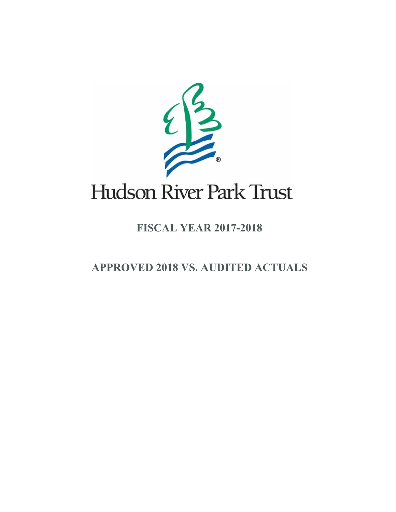

## **FISCAL YEAR 2017-2018**

 **APPROVED 2018 VS. AUDITED ACTUALS**